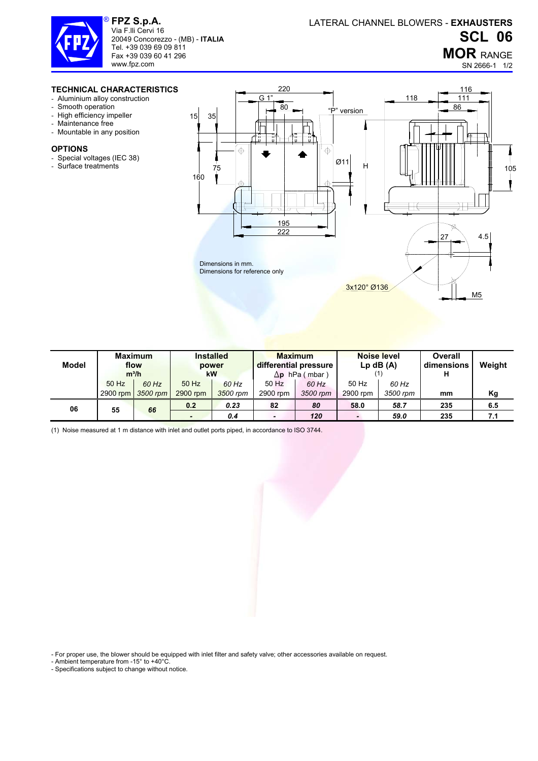

**FPZ S.p.A.**  Via F.lli Cervi 16 20049 Concorezzo - (MB) - **ITALIA** Tel. +39 039 69 09 811 Fax +39 039 60 41 296 www.fpz.com

## **MOR** RANGE

M5

SN 2666-1 1/2

## **TECHNICAL CHARACTERISTICS**

- Aluminium alloy construction
- Smooth operation
- High efficiency impeller
- Maintenance free
- Mountable in any position

## **OPTIONS**

- Special voltages (IEC 38)
- Surface treatments



3x120° Ø136

| Model | <b>Maximum</b><br>flow<br>$m^3/h$ |          | <b>Installed</b><br>power<br>kW |          | <b>Maximum</b><br>differential pressure<br>$\Delta$ p hPa (mbar) |          | <b>Noise level</b><br>$Lp$ dB $(A)$ |          | Overall<br>dimensions<br>п | Weight |
|-------|-----------------------------------|----------|---------------------------------|----------|------------------------------------------------------------------|----------|-------------------------------------|----------|----------------------------|--------|
|       | 50 Hz                             | 60 Hz    | 50 Hz                           | 60 Hz    | 50 Hz                                                            | 60 Hz    | 50 Hz                               | 60 Hz    |                            |        |
|       | 2900 rpm                          | 3500 rpm | 2900 rpm                        | 3500 rpm | 2900 rpm                                                         | 3500 rpm | 2900 rpm                            | 3500 rpm | mm                         | Κg     |
| 06    | 55                                | 66       | 0.2                             | 0.23     | 82                                                               | 80       | 58.0                                | 58.7     | 235                        | 6.5    |
|       |                                   |          | -                               | 0.4      | $\blacksquare$                                                   | 120      |                                     | 59.0     | 235                        | 7.1    |

(1) Noise measured at 1 m distance with inlet and outlet ports piped, in accordance to ISO 3744.

- For proper use, the blower should be equipped with inlet filter and safety valve; other accessories available on request.

- Ambient temperature from -15° to +40°C.

- Specifications subject to change without notice.